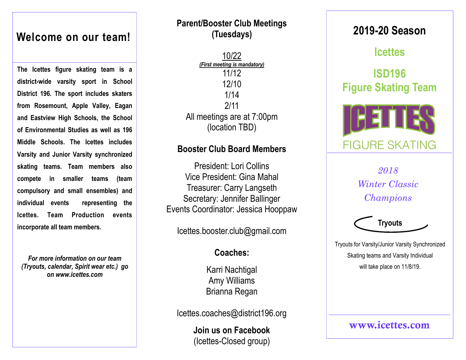## **Welcome on our team!**

**The Icettes figure skating team is a district-wide varsity sport in School District 196. The sport includes skaters from Rosemount, Apple Valley, Eagan and Eastview High Schools, the School of Environmental Studies as well as 196 Middle Schools. The Icettes includes Varsity and Junior Varsity synchronized skating teams. Team members also compete in smaller teams (team compulsory and small ensembles) and individual events representing the Icettes. Team Production events incorporate all team members.** 

*For more information on our team (Tryouts, calendar, Spirit wear etc.) go on www.icettes.com* 

## **Parent/Booster Club Meetings (Tuesdays)**

10/22 *(First meeting is mandatory)* 11/12 12/10 1/14 2/11 All meetings are at 7:00pm (location TBD)

### **Booster Club Board Members**

President: Lori Collins Vice President: Gina Mahal Treasurer: Carry Langseth Secretary: Jennifer Ballinger Events Coordinator: Jessica Hooppaw

Icettes.booster.club@gmail.com

## **Coaches:**

Karri Nachtigal Amy Williams Brianna Regan

Icettes.coaches@district196.org

**Join us on Facebook**  (Icettes-Closed group)

# **2019-20 Season**

# **Icettes**

# **ISD196 Figure Skating Team**



*2018 Winter Classic Champions*



Tryouts for Varsity/Junior Varsity Synchronized Skating teams and Varsity Individual will take place on 11/8/19.

www.icettes.com